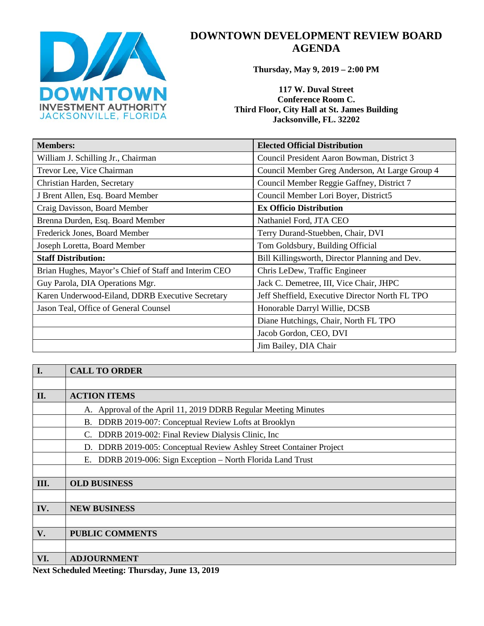

# **DOWNTOWN DEVELOPMENT REVIEW BOARD AGENDA**

**Thursday, May 9, 2019 – 2:00 PM**

**117 W. Duval Street Conference Room C. Third Floor, City Hall at St. James Building Jacksonville, FL. 32202** 

| <b>Members:</b>                                      | <b>Elected Official Distribution</b>            |
|------------------------------------------------------|-------------------------------------------------|
| William J. Schilling Jr., Chairman                   | Council President Aaron Bowman, District 3      |
| Trevor Lee, Vice Chairman                            | Council Member Greg Anderson, At Large Group 4  |
| Christian Harden, Secretary                          | Council Member Reggie Gaffney, District 7       |
| J Brent Allen, Esq. Board Member                     | Council Member Lori Boyer, District5            |
| Craig Davisson, Board Member                         | <b>Ex Officio Distribution</b>                  |
| Brenna Durden, Esq. Board Member                     | Nathaniel Ford, JTA CEO                         |
| Frederick Jones, Board Member                        | Terry Durand-Stuebben, Chair, DVI               |
| Joseph Loretta, Board Member                         | Tom Goldsbury, Building Official                |
| <b>Staff Distribution:</b>                           | Bill Killingsworth, Director Planning and Dev.  |
| Brian Hughes, Mayor's Chief of Staff and Interim CEO | Chris LeDew, Traffic Engineer                   |
| Guy Parola, DIA Operations Mgr.                      | Jack C. Demetree, III, Vice Chair, JHPC         |
| Karen Underwood-Eiland, DDRB Executive Secretary     | Jeff Sheffield, Executive Director North FL TPO |
| Jason Teal, Office of General Counsel                | Honorable Darryl Willie, DCSB                   |
|                                                      | Diane Hutchings, Chair, North FL TPO            |
|                                                      | Jacob Gordon, CEO, DVI                          |
|                                                      | Jim Bailey, DIA Chair                           |

| I.            | <b>CALL TO ORDER</b>                                                |
|---------------|---------------------------------------------------------------------|
|               |                                                                     |
| II.           | <b>ACTION ITEMS</b>                                                 |
|               | A. Approval of the April 11, 2019 DDRB Regular Meeting Minutes      |
|               | B. DDRB 2019-007: Conceptual Review Lofts at Brooklyn               |
|               | C. DDRB 2019-002: Final Review Dialysis Clinic, Inc.                |
|               | D. DDRB 2019-005: Conceptual Review Ashley Street Container Project |
|               | E. DDRB 2019-006: Sign Exception – North Florida Land Trust         |
|               |                                                                     |
| Ш.            | <b>OLD BUSINESS</b>                                                 |
|               |                                                                     |
| IV.           | <b>NEW BUSINESS</b>                                                 |
|               |                                                                     |
| $V_{\bullet}$ | <b>PUBLIC COMMENTS</b>                                              |
|               |                                                                     |
| VI.           | <b>ADJOURNMENT</b>                                                  |

**Next Scheduled Meeting: Thursday, June 13, 2019**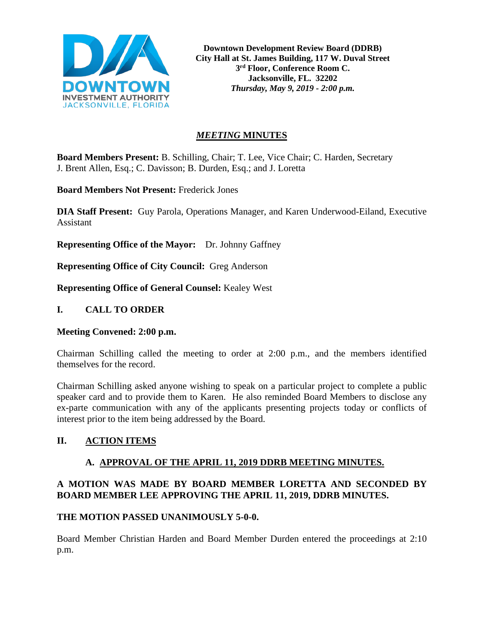

**Downtown Development Review Board (DDRB) City Hall at St. James Building, 117 W. Duval Street 3rd Floor, Conference Room C. Jacksonville, FL. 32202** *Thursday, May 9, 2019 - 2:00 p.m.*

# *MEETING* **MINUTES**

**Board Members Present:** B. Schilling, Chair; T. Lee, Vice Chair; C. Harden, Secretary J. Brent Allen, Esq.; C. Davisson; B. Durden, Esq.; and J. Loretta

**Board Members Not Present:** Frederick Jones

**DIA Staff Present:** Guy Parola, Operations Manager, and Karen Underwood-Eiland, Executive Assistant

**Representing Office of the Mayor:** Dr. Johnny Gaffney

**Representing Office of City Council:** Greg Anderson

**Representing Office of General Counsel:** Kealey West

#### **I. CALL TO ORDER**

#### **Meeting Convened: 2:00 p.m.**

Chairman Schilling called the meeting to order at 2:00 p.m., and the members identified themselves for the record.

Chairman Schilling asked anyone wishing to speak on a particular project to complete a public speaker card and to provide them to Karen. He also reminded Board Members to disclose any ex-parte communication with any of the applicants presenting projects today or conflicts of interest prior to the item being addressed by the Board.

## **II. ACTION ITEMS**

#### **A. APPROVAL OF THE APRIL 11, 2019 DDRB MEETING MINUTES.**

## **A MOTION WAS MADE BY BOARD MEMBER LORETTA AND SECONDED BY BOARD MEMBER LEE APPROVING THE APRIL 11, 2019, DDRB MINUTES.**

#### **THE MOTION PASSED UNANIMOUSLY 5-0-0.**

Board Member Christian Harden and Board Member Durden entered the proceedings at 2:10 p.m.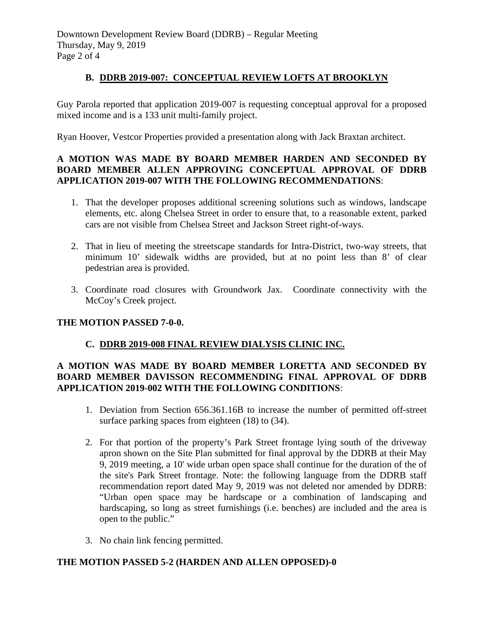# **B. DDRB 2019-007: CONCEPTUAL REVIEW LOFTS AT BROOKLYN**

Guy Parola reported that application 2019-007 is requesting conceptual approval for a proposed mixed income and is a 133 unit multi-family project.

Ryan Hoover, Vestcor Properties provided a presentation along with Jack Braxtan architect.

## **A MOTION WAS MADE BY BOARD MEMBER HARDEN AND SECONDED BY BOARD MEMBER ALLEN APPROVING CONCEPTUAL APPROVAL OF DDRB APPLICATION 2019-007 WITH THE FOLLOWING RECOMMENDATIONS**:

- 1. That the developer proposes additional screening solutions such as windows, landscape elements, etc. along Chelsea Street in order to ensure that, to a reasonable extent, parked cars are not visible from Chelsea Street and Jackson Street right-of-ways.
- 2. That in lieu of meeting the streetscape standards for Intra-District, two-way streets, that minimum 10' sidewalk widths are provided, but at no point less than 8' of clear pedestrian area is provided.
- 3. Coordinate road closures with Groundwork Jax. Coordinate connectivity with the McCoy's Creek project.

## **THE MOTION PASSED 7-0-0.**

# **C. DDRB 2019-008 FINAL REVIEW DIALYSIS CLINIC INC.**

## **A MOTION WAS MADE BY BOARD MEMBER LORETTA AND SECONDED BY BOARD MEMBER DAVISSON RECOMMENDING FINAL APPROVAL OF DDRB APPLICATION 2019-002 WITH THE FOLLOWING CONDITIONS**:

- 1. Deviation from Section 656.361.16B to increase the number of permitted off-street surface parking spaces from eighteen (18) to (34).
- 2. For that portion of the property's Park Street frontage lying south of the driveway apron shown on the Site Plan submitted for final approval by the DDRB at their May 9, 2019 meeting, a 10' wide urban open space shall continue for the duration of the of the site's Park Street frontage. Note: the following language from the DDRB staff recommendation report dated May 9, 2019 was not deleted nor amended by DDRB: "Urban open space may be hardscape or a combination of landscaping and hardscaping, so long as street furnishings (i.e. benches) are included and the area is open to the public."
- 3. No chain link fencing permitted.

## **THE MOTION PASSED 5-2 (HARDEN AND ALLEN OPPOSED)-0**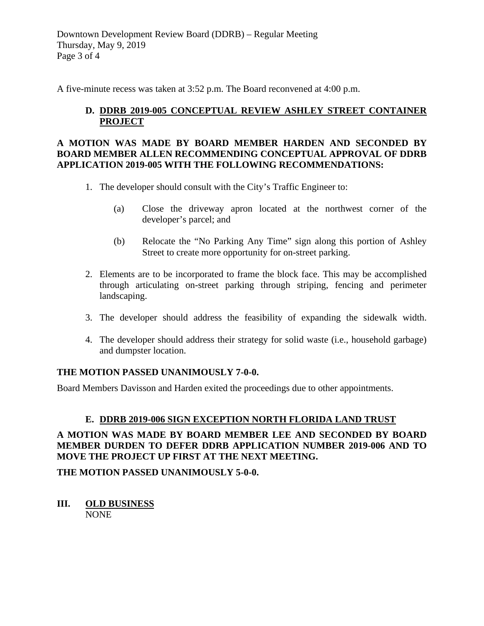Downtown Development Review Board (DDRB) – Regular Meeting Thursday, May 9, 2019 Page 3 of 4

A five-minute recess was taken at 3:52 p.m. The Board reconvened at 4:00 p.m.

# **D. DDRB 2019-005 CONCEPTUAL REVIEW ASHLEY STREET CONTAINER PROJECT**

## **A MOTION WAS MADE BY BOARD MEMBER HARDEN AND SECONDED BY BOARD MEMBER ALLEN RECOMMENDING CONCEPTUAL APPROVAL OF DDRB APPLICATION 2019-005 WITH THE FOLLOWING RECOMMENDATIONS:**

- 1. The developer should consult with the City's Traffic Engineer to:
	- (a) Close the driveway apron located at the northwest corner of the developer's parcel; and
	- (b) Relocate the "No Parking Any Time" sign along this portion of Ashley Street to create more opportunity for on-street parking.
- 2. Elements are to be incorporated to frame the block face. This may be accomplished through articulating on-street parking through striping, fencing and perimeter landscaping.
- 3. The developer should address the feasibility of expanding the sidewalk width.
- 4. The developer should address their strategy for solid waste (i.e., household garbage) and dumpster location.

## **THE MOTION PASSED UNANIMOUSLY 7-0-0.**

Board Members Davisson and Harden exited the proceedings due to other appointments.

# **E. DDRB 2019-006 SIGN EXCEPTION NORTH FLORIDA LAND TRUST**

## **A MOTION WAS MADE BY BOARD MEMBER LEE AND SECONDED BY BOARD MEMBER DURDEN TO DEFER DDRB APPLICATION NUMBER 2019-006 AND TO MOVE THE PROJECT UP FIRST AT THE NEXT MEETING.**

**THE MOTION PASSED UNANIMOUSLY 5-0-0.** 

**III. OLD BUSINESS** NONE